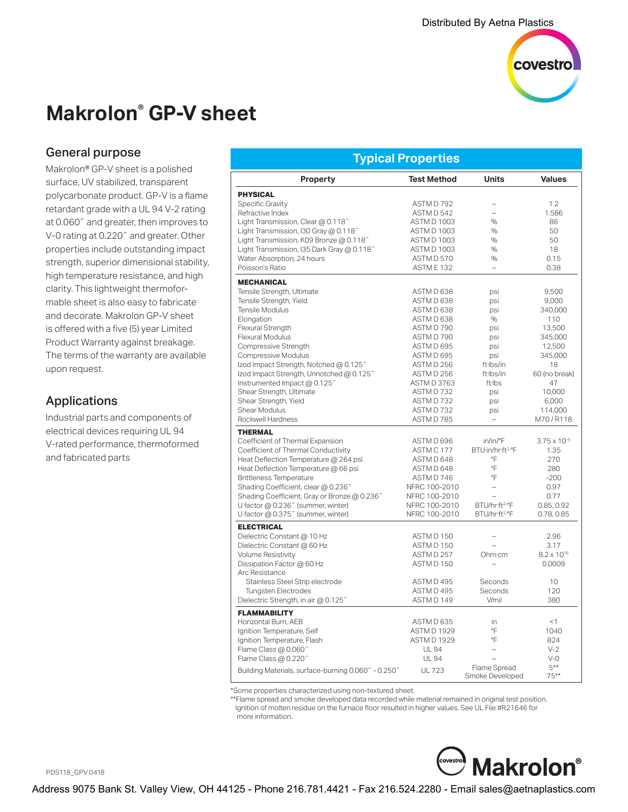

# **Makrolon® GP-V sheet**

#### General purpose

Makrolon® GP-V sheet is a polished surface, UV stabilized, transparent polycarbonate product. GP-V is a flame retardant grade with a UL 94 V-2 rating at 0.060˝ and greater, then improves to V-0 rating at 0.220˝ and greater. Other properties include outstanding impact strength, superior dimensional stability, high temperature resistance, and high clarity. This lightweight thermoformable sheet is also easy to fabricate and decorate. Makrolon GP-V sheet is offered with a five (5) year Limited Product Warranty against breakage. The terms of the warranty are available upon request.

## Applications

Industrial parts and components of electrical devices requiring UL 94 V-rated performance, thermoformed and fabricated parts

| <b>Test Method</b><br><b>Units</b><br><b>Values</b><br>Property<br><b>PHYSICAL</b><br>Specific Gravity<br>ASTM D 792<br>1.2<br>1.586<br>Refractive Index<br>ASTM D 542<br>$\overline{a}$<br>Light Transmission, Clear @ 0.118"<br><b>ASTM D 1003</b><br>$\%$<br>86<br>Light Transmission, I30 Gray @ 0.118"<br><b>ASTM D 1003</b><br>$\%$<br>50<br>Light Transmission, K09 Bronze @ 0.118"<br><b>ASTM D 1003</b><br>$\%$<br>50<br>Light Transmission, I35 Dark Gray @ 0.118"<br><b>ASTM D 1003</b><br>$\%$<br>18<br>Water Absorption, 24 hours<br>ASTM D 570<br>%<br>0.15<br>Poisson's Ratio<br>ASTME 132<br>0.38<br>$\overline{a}$<br><b>MECHANICAL</b><br>Tensile Strength, Ultimate<br>ASTM D 638<br>9.500<br>psi<br>Tensile Strength, Yield<br>ASTM D 638<br>9,000<br>psi<br>Tensile Modulus<br>ASTM D 638<br>340,000<br>psi<br>Elongation<br>ASTM D 638<br>110<br>%<br><b>Flexural Strength</b><br>ASTM D 790<br>13.500<br>psi<br><b>Flexural Modulus</b><br>ASTM D 790<br>345,000<br>psi<br>Compressive Strength<br>ASTM D 695<br>12,500<br>psi<br>Compressive Modulus<br>ASTM D 695<br>345,000<br>psi<br>lzod Impact Strength, Notched @ 0.125"<br>ASTM D 256<br>ft·lbs/in<br>18<br>lzod Impact Strength, Unnotched @ 0.125"<br>ASTM D 256<br>60 (no break)<br>ft·lbs/in<br>Instrumented Impact @ 0.125"<br><b>ASTM D 3763</b><br>ft·lbs<br>47<br>Shear Strength, Ultimate<br>ASTM D732<br>psi<br>10,000<br>Shear Strength, Yield<br>ASTMD732<br>6,000<br>psi<br>Shear Modulus<br>ASTMD732<br>114,000<br>psi<br>Rockwell Hardness<br>ASTM D 785<br>M70/R118<br>$\equiv$<br><b>THERMAL</b><br>Coefficient of Thermal Expansion<br>ASTM D 696<br>in/in/°F<br>$3.75 \times 10^{-5}$<br>Coefficient of Thermal Conductivity<br>ASTM C 177<br>BTU·in/hr·ft <sup>2.</sup> °F<br>1.35<br>°F<br>Heat Deflection Temperature @ 264 psi<br>ASTM D 648<br>270<br>°F<br>Heat Deflection Temperature @ 66 psi<br>ASTM D 648<br>280<br>°F<br><b>Brittleness Temperature</b><br>ASTM D 746<br>$-200$<br>Shading Coefficient, clear @ 0.236"<br>NFRC 100-2010<br>0.97<br>$\overline{a}$<br>Shading Coefficient, Gray or Bronze @ 0.236"<br>NFRC 100-2010<br>0.77<br>U factor @ 0.236" (summer, winter)<br>BTU/hr·ft <sup>2.</sup> °F<br>NFRC 100-2010<br>0.85, 0.92<br>U factor @ 0.375" (summer, winter)<br>NFRC 100-2010<br>BTU/hr·ft <sup>2.</sup> °F<br>0.78, 0.85<br><b>ELECTRICAL</b><br>Dielectric Constant @ 10 Hz<br>ASTM D 150<br>2.96<br>$\overline{\phantom{0}}$<br>Dielectric Constant @ 60 Hz<br>ASTM D 150<br>3.17<br>Volume Resistivity<br>ASTMD 257<br>Ohm·cm<br>$8.2 \times 10^{16}$<br>Dissipation Factor @ 60 Hz<br>ASTM D 150<br>0.0009<br>$\equiv$<br>Arc Resistance<br>ASTM D 495<br>Seconds<br>Stainless Steel Strip electrode<br>10<br>Tungsten Electrodes<br>ASTM D 495<br>Seconds<br>120<br>Dielectric Strength, in air @ 0.125"<br>ASTM D 149<br>V/mil<br>380<br><b>FLAMMABILITY</b><br>Horizontal Burn, AEB<br>ASTM D 635<br>in<br><1<br>°F<br>Ignition Temperature, Self<br><b>ASTM D 1929</b><br>1040<br>°F<br>Ignition Temperature, Flash<br><b>ASTM D 1929</b><br>824<br>Flame Class @ 0.060"<br><b>UL 94</b><br>$V-2$<br>$V - Q$<br>Flame Class @ $0.220$ "<br><b>UL 94</b><br>$5***$<br>Flame Spread<br>Building Materials, surface-burning 0.060" - 0.250"<br><b>UL 723</b> | <u>Typical Properties</u> |  |                 |        |  |  |  |
|--------------------------------------------------------------------------------------------------------------------------------------------------------------------------------------------------------------------------------------------------------------------------------------------------------------------------------------------------------------------------------------------------------------------------------------------------------------------------------------------------------------------------------------------------------------------------------------------------------------------------------------------------------------------------------------------------------------------------------------------------------------------------------------------------------------------------------------------------------------------------------------------------------------------------------------------------------------------------------------------------------------------------------------------------------------------------------------------------------------------------------------------------------------------------------------------------------------------------------------------------------------------------------------------------------------------------------------------------------------------------------------------------------------------------------------------------------------------------------------------------------------------------------------------------------------------------------------------------------------------------------------------------------------------------------------------------------------------------------------------------------------------------------------------------------------------------------------------------------------------------------------------------------------------------------------------------------------------------------------------------------------------------------------------------------------------------------------------------------------------------------------------------------------------------------------------------------------------------------------------------------------------------------------------------------------------------------------------------------------------------------------------------------------------------------------------------------------------------------------------------------------------------------------------------------------------------------------------------------------------------------------------------------------------------------------------------------------------------------------------------------------------------------------------------------------------------------------------------------------------------------------------------------------------------------------------------------------------------------------------------------------------------------------------------------------------------------------------------------------------------------------------------------------------------------------------------------------------------------------------------------------------------------------------------------|---------------------------|--|-----------------|--------|--|--|--|
|                                                                                                                                                                                                                                                                                                                                                                                                                                                                                                                                                                                                                                                                                                                                                                                                                                                                                                                                                                                                                                                                                                                                                                                                                                                                                                                                                                                                                                                                                                                                                                                                                                                                                                                                                                                                                                                                                                                                                                                                                                                                                                                                                                                                                                                                                                                                                                                                                                                                                                                                                                                                                                                                                                                                                                                                                                                                                                                                                                                                                                                                                                                                                                                                                                                                                                        |                           |  |                 |        |  |  |  |
|                                                                                                                                                                                                                                                                                                                                                                                                                                                                                                                                                                                                                                                                                                                                                                                                                                                                                                                                                                                                                                                                                                                                                                                                                                                                                                                                                                                                                                                                                                                                                                                                                                                                                                                                                                                                                                                                                                                                                                                                                                                                                                                                                                                                                                                                                                                                                                                                                                                                                                                                                                                                                                                                                                                                                                                                                                                                                                                                                                                                                                                                                                                                                                                                                                                                                                        |                           |  |                 |        |  |  |  |
|                                                                                                                                                                                                                                                                                                                                                                                                                                                                                                                                                                                                                                                                                                                                                                                                                                                                                                                                                                                                                                                                                                                                                                                                                                                                                                                                                                                                                                                                                                                                                                                                                                                                                                                                                                                                                                                                                                                                                                                                                                                                                                                                                                                                                                                                                                                                                                                                                                                                                                                                                                                                                                                                                                                                                                                                                                                                                                                                                                                                                                                                                                                                                                                                                                                                                                        |                           |  |                 |        |  |  |  |
|                                                                                                                                                                                                                                                                                                                                                                                                                                                                                                                                                                                                                                                                                                                                                                                                                                                                                                                                                                                                                                                                                                                                                                                                                                                                                                                                                                                                                                                                                                                                                                                                                                                                                                                                                                                                                                                                                                                                                                                                                                                                                                                                                                                                                                                                                                                                                                                                                                                                                                                                                                                                                                                                                                                                                                                                                                                                                                                                                                                                                                                                                                                                                                                                                                                                                                        |                           |  |                 |        |  |  |  |
|                                                                                                                                                                                                                                                                                                                                                                                                                                                                                                                                                                                                                                                                                                                                                                                                                                                                                                                                                                                                                                                                                                                                                                                                                                                                                                                                                                                                                                                                                                                                                                                                                                                                                                                                                                                                                                                                                                                                                                                                                                                                                                                                                                                                                                                                                                                                                                                                                                                                                                                                                                                                                                                                                                                                                                                                                                                                                                                                                                                                                                                                                                                                                                                                                                                                                                        |                           |  |                 |        |  |  |  |
|                                                                                                                                                                                                                                                                                                                                                                                                                                                                                                                                                                                                                                                                                                                                                                                                                                                                                                                                                                                                                                                                                                                                                                                                                                                                                                                                                                                                                                                                                                                                                                                                                                                                                                                                                                                                                                                                                                                                                                                                                                                                                                                                                                                                                                                                                                                                                                                                                                                                                                                                                                                                                                                                                                                                                                                                                                                                                                                                                                                                                                                                                                                                                                                                                                                                                                        |                           |  |                 |        |  |  |  |
|                                                                                                                                                                                                                                                                                                                                                                                                                                                                                                                                                                                                                                                                                                                                                                                                                                                                                                                                                                                                                                                                                                                                                                                                                                                                                                                                                                                                                                                                                                                                                                                                                                                                                                                                                                                                                                                                                                                                                                                                                                                                                                                                                                                                                                                                                                                                                                                                                                                                                                                                                                                                                                                                                                                                                                                                                                                                                                                                                                                                                                                                                                                                                                                                                                                                                                        |                           |  |                 |        |  |  |  |
|                                                                                                                                                                                                                                                                                                                                                                                                                                                                                                                                                                                                                                                                                                                                                                                                                                                                                                                                                                                                                                                                                                                                                                                                                                                                                                                                                                                                                                                                                                                                                                                                                                                                                                                                                                                                                                                                                                                                                                                                                                                                                                                                                                                                                                                                                                                                                                                                                                                                                                                                                                                                                                                                                                                                                                                                                                                                                                                                                                                                                                                                                                                                                                                                                                                                                                        |                           |  |                 |        |  |  |  |
|                                                                                                                                                                                                                                                                                                                                                                                                                                                                                                                                                                                                                                                                                                                                                                                                                                                                                                                                                                                                                                                                                                                                                                                                                                                                                                                                                                                                                                                                                                                                                                                                                                                                                                                                                                                                                                                                                                                                                                                                                                                                                                                                                                                                                                                                                                                                                                                                                                                                                                                                                                                                                                                                                                                                                                                                                                                                                                                                                                                                                                                                                                                                                                                                                                                                                                        |                           |  |                 |        |  |  |  |
|                                                                                                                                                                                                                                                                                                                                                                                                                                                                                                                                                                                                                                                                                                                                                                                                                                                                                                                                                                                                                                                                                                                                                                                                                                                                                                                                                                                                                                                                                                                                                                                                                                                                                                                                                                                                                                                                                                                                                                                                                                                                                                                                                                                                                                                                                                                                                                                                                                                                                                                                                                                                                                                                                                                                                                                                                                                                                                                                                                                                                                                                                                                                                                                                                                                                                                        |                           |  |                 |        |  |  |  |
|                                                                                                                                                                                                                                                                                                                                                                                                                                                                                                                                                                                                                                                                                                                                                                                                                                                                                                                                                                                                                                                                                                                                                                                                                                                                                                                                                                                                                                                                                                                                                                                                                                                                                                                                                                                                                                                                                                                                                                                                                                                                                                                                                                                                                                                                                                                                                                                                                                                                                                                                                                                                                                                                                                                                                                                                                                                                                                                                                                                                                                                                                                                                                                                                                                                                                                        |                           |  |                 |        |  |  |  |
|                                                                                                                                                                                                                                                                                                                                                                                                                                                                                                                                                                                                                                                                                                                                                                                                                                                                                                                                                                                                                                                                                                                                                                                                                                                                                                                                                                                                                                                                                                                                                                                                                                                                                                                                                                                                                                                                                                                                                                                                                                                                                                                                                                                                                                                                                                                                                                                                                                                                                                                                                                                                                                                                                                                                                                                                                                                                                                                                                                                                                                                                                                                                                                                                                                                                                                        |                           |  |                 |        |  |  |  |
|                                                                                                                                                                                                                                                                                                                                                                                                                                                                                                                                                                                                                                                                                                                                                                                                                                                                                                                                                                                                                                                                                                                                                                                                                                                                                                                                                                                                                                                                                                                                                                                                                                                                                                                                                                                                                                                                                                                                                                                                                                                                                                                                                                                                                                                                                                                                                                                                                                                                                                                                                                                                                                                                                                                                                                                                                                                                                                                                                                                                                                                                                                                                                                                                                                                                                                        |                           |  |                 |        |  |  |  |
|                                                                                                                                                                                                                                                                                                                                                                                                                                                                                                                                                                                                                                                                                                                                                                                                                                                                                                                                                                                                                                                                                                                                                                                                                                                                                                                                                                                                                                                                                                                                                                                                                                                                                                                                                                                                                                                                                                                                                                                                                                                                                                                                                                                                                                                                                                                                                                                                                                                                                                                                                                                                                                                                                                                                                                                                                                                                                                                                                                                                                                                                                                                                                                                                                                                                                                        |                           |  |                 |        |  |  |  |
|                                                                                                                                                                                                                                                                                                                                                                                                                                                                                                                                                                                                                                                                                                                                                                                                                                                                                                                                                                                                                                                                                                                                                                                                                                                                                                                                                                                                                                                                                                                                                                                                                                                                                                                                                                                                                                                                                                                                                                                                                                                                                                                                                                                                                                                                                                                                                                                                                                                                                                                                                                                                                                                                                                                                                                                                                                                                                                                                                                                                                                                                                                                                                                                                                                                                                                        |                           |  |                 |        |  |  |  |
|                                                                                                                                                                                                                                                                                                                                                                                                                                                                                                                                                                                                                                                                                                                                                                                                                                                                                                                                                                                                                                                                                                                                                                                                                                                                                                                                                                                                                                                                                                                                                                                                                                                                                                                                                                                                                                                                                                                                                                                                                                                                                                                                                                                                                                                                                                                                                                                                                                                                                                                                                                                                                                                                                                                                                                                                                                                                                                                                                                                                                                                                                                                                                                                                                                                                                                        |                           |  |                 |        |  |  |  |
|                                                                                                                                                                                                                                                                                                                                                                                                                                                                                                                                                                                                                                                                                                                                                                                                                                                                                                                                                                                                                                                                                                                                                                                                                                                                                                                                                                                                                                                                                                                                                                                                                                                                                                                                                                                                                                                                                                                                                                                                                                                                                                                                                                                                                                                                                                                                                                                                                                                                                                                                                                                                                                                                                                                                                                                                                                                                                                                                                                                                                                                                                                                                                                                                                                                                                                        |                           |  |                 |        |  |  |  |
|                                                                                                                                                                                                                                                                                                                                                                                                                                                                                                                                                                                                                                                                                                                                                                                                                                                                                                                                                                                                                                                                                                                                                                                                                                                                                                                                                                                                                                                                                                                                                                                                                                                                                                                                                                                                                                                                                                                                                                                                                                                                                                                                                                                                                                                                                                                                                                                                                                                                                                                                                                                                                                                                                                                                                                                                                                                                                                                                                                                                                                                                                                                                                                                                                                                                                                        |                           |  |                 |        |  |  |  |
|                                                                                                                                                                                                                                                                                                                                                                                                                                                                                                                                                                                                                                                                                                                                                                                                                                                                                                                                                                                                                                                                                                                                                                                                                                                                                                                                                                                                                                                                                                                                                                                                                                                                                                                                                                                                                                                                                                                                                                                                                                                                                                                                                                                                                                                                                                                                                                                                                                                                                                                                                                                                                                                                                                                                                                                                                                                                                                                                                                                                                                                                                                                                                                                                                                                                                                        |                           |  |                 |        |  |  |  |
|                                                                                                                                                                                                                                                                                                                                                                                                                                                                                                                                                                                                                                                                                                                                                                                                                                                                                                                                                                                                                                                                                                                                                                                                                                                                                                                                                                                                                                                                                                                                                                                                                                                                                                                                                                                                                                                                                                                                                                                                                                                                                                                                                                                                                                                                                                                                                                                                                                                                                                                                                                                                                                                                                                                                                                                                                                                                                                                                                                                                                                                                                                                                                                                                                                                                                                        |                           |  |                 |        |  |  |  |
|                                                                                                                                                                                                                                                                                                                                                                                                                                                                                                                                                                                                                                                                                                                                                                                                                                                                                                                                                                                                                                                                                                                                                                                                                                                                                                                                                                                                                                                                                                                                                                                                                                                                                                                                                                                                                                                                                                                                                                                                                                                                                                                                                                                                                                                                                                                                                                                                                                                                                                                                                                                                                                                                                                                                                                                                                                                                                                                                                                                                                                                                                                                                                                                                                                                                                                        |                           |  |                 |        |  |  |  |
|                                                                                                                                                                                                                                                                                                                                                                                                                                                                                                                                                                                                                                                                                                                                                                                                                                                                                                                                                                                                                                                                                                                                                                                                                                                                                                                                                                                                                                                                                                                                                                                                                                                                                                                                                                                                                                                                                                                                                                                                                                                                                                                                                                                                                                                                                                                                                                                                                                                                                                                                                                                                                                                                                                                                                                                                                                                                                                                                                                                                                                                                                                                                                                                                                                                                                                        |                           |  |                 |        |  |  |  |
|                                                                                                                                                                                                                                                                                                                                                                                                                                                                                                                                                                                                                                                                                                                                                                                                                                                                                                                                                                                                                                                                                                                                                                                                                                                                                                                                                                                                                                                                                                                                                                                                                                                                                                                                                                                                                                                                                                                                                                                                                                                                                                                                                                                                                                                                                                                                                                                                                                                                                                                                                                                                                                                                                                                                                                                                                                                                                                                                                                                                                                                                                                                                                                                                                                                                                                        |                           |  |                 |        |  |  |  |
|                                                                                                                                                                                                                                                                                                                                                                                                                                                                                                                                                                                                                                                                                                                                                                                                                                                                                                                                                                                                                                                                                                                                                                                                                                                                                                                                                                                                                                                                                                                                                                                                                                                                                                                                                                                                                                                                                                                                                                                                                                                                                                                                                                                                                                                                                                                                                                                                                                                                                                                                                                                                                                                                                                                                                                                                                                                                                                                                                                                                                                                                                                                                                                                                                                                                                                        |                           |  |                 |        |  |  |  |
|                                                                                                                                                                                                                                                                                                                                                                                                                                                                                                                                                                                                                                                                                                                                                                                                                                                                                                                                                                                                                                                                                                                                                                                                                                                                                                                                                                                                                                                                                                                                                                                                                                                                                                                                                                                                                                                                                                                                                                                                                                                                                                                                                                                                                                                                                                                                                                                                                                                                                                                                                                                                                                                                                                                                                                                                                                                                                                                                                                                                                                                                                                                                                                                                                                                                                                        |                           |  |                 |        |  |  |  |
|                                                                                                                                                                                                                                                                                                                                                                                                                                                                                                                                                                                                                                                                                                                                                                                                                                                                                                                                                                                                                                                                                                                                                                                                                                                                                                                                                                                                                                                                                                                                                                                                                                                                                                                                                                                                                                                                                                                                                                                                                                                                                                                                                                                                                                                                                                                                                                                                                                                                                                                                                                                                                                                                                                                                                                                                                                                                                                                                                                                                                                                                                                                                                                                                                                                                                                        |                           |  |                 |        |  |  |  |
|                                                                                                                                                                                                                                                                                                                                                                                                                                                                                                                                                                                                                                                                                                                                                                                                                                                                                                                                                                                                                                                                                                                                                                                                                                                                                                                                                                                                                                                                                                                                                                                                                                                                                                                                                                                                                                                                                                                                                                                                                                                                                                                                                                                                                                                                                                                                                                                                                                                                                                                                                                                                                                                                                                                                                                                                                                                                                                                                                                                                                                                                                                                                                                                                                                                                                                        |                           |  |                 |        |  |  |  |
|                                                                                                                                                                                                                                                                                                                                                                                                                                                                                                                                                                                                                                                                                                                                                                                                                                                                                                                                                                                                                                                                                                                                                                                                                                                                                                                                                                                                                                                                                                                                                                                                                                                                                                                                                                                                                                                                                                                                                                                                                                                                                                                                                                                                                                                                                                                                                                                                                                                                                                                                                                                                                                                                                                                                                                                                                                                                                                                                                                                                                                                                                                                                                                                                                                                                                                        |                           |  |                 |        |  |  |  |
|                                                                                                                                                                                                                                                                                                                                                                                                                                                                                                                                                                                                                                                                                                                                                                                                                                                                                                                                                                                                                                                                                                                                                                                                                                                                                                                                                                                                                                                                                                                                                                                                                                                                                                                                                                                                                                                                                                                                                                                                                                                                                                                                                                                                                                                                                                                                                                                                                                                                                                                                                                                                                                                                                                                                                                                                                                                                                                                                                                                                                                                                                                                                                                                                                                                                                                        |                           |  |                 |        |  |  |  |
|                                                                                                                                                                                                                                                                                                                                                                                                                                                                                                                                                                                                                                                                                                                                                                                                                                                                                                                                                                                                                                                                                                                                                                                                                                                                                                                                                                                                                                                                                                                                                                                                                                                                                                                                                                                                                                                                                                                                                                                                                                                                                                                                                                                                                                                                                                                                                                                                                                                                                                                                                                                                                                                                                                                                                                                                                                                                                                                                                                                                                                                                                                                                                                                                                                                                                                        |                           |  |                 |        |  |  |  |
|                                                                                                                                                                                                                                                                                                                                                                                                                                                                                                                                                                                                                                                                                                                                                                                                                                                                                                                                                                                                                                                                                                                                                                                                                                                                                                                                                                                                                                                                                                                                                                                                                                                                                                                                                                                                                                                                                                                                                                                                                                                                                                                                                                                                                                                                                                                                                                                                                                                                                                                                                                                                                                                                                                                                                                                                                                                                                                                                                                                                                                                                                                                                                                                                                                                                                                        |                           |  |                 |        |  |  |  |
|                                                                                                                                                                                                                                                                                                                                                                                                                                                                                                                                                                                                                                                                                                                                                                                                                                                                                                                                                                                                                                                                                                                                                                                                                                                                                                                                                                                                                                                                                                                                                                                                                                                                                                                                                                                                                                                                                                                                                                                                                                                                                                                                                                                                                                                                                                                                                                                                                                                                                                                                                                                                                                                                                                                                                                                                                                                                                                                                                                                                                                                                                                                                                                                                                                                                                                        |                           |  |                 |        |  |  |  |
|                                                                                                                                                                                                                                                                                                                                                                                                                                                                                                                                                                                                                                                                                                                                                                                                                                                                                                                                                                                                                                                                                                                                                                                                                                                                                                                                                                                                                                                                                                                                                                                                                                                                                                                                                                                                                                                                                                                                                                                                                                                                                                                                                                                                                                                                                                                                                                                                                                                                                                                                                                                                                                                                                                                                                                                                                                                                                                                                                                                                                                                                                                                                                                                                                                                                                                        |                           |  |                 |        |  |  |  |
|                                                                                                                                                                                                                                                                                                                                                                                                                                                                                                                                                                                                                                                                                                                                                                                                                                                                                                                                                                                                                                                                                                                                                                                                                                                                                                                                                                                                                                                                                                                                                                                                                                                                                                                                                                                                                                                                                                                                                                                                                                                                                                                                                                                                                                                                                                                                                                                                                                                                                                                                                                                                                                                                                                                                                                                                                                                                                                                                                                                                                                                                                                                                                                                                                                                                                                        |                           |  |                 |        |  |  |  |
|                                                                                                                                                                                                                                                                                                                                                                                                                                                                                                                                                                                                                                                                                                                                                                                                                                                                                                                                                                                                                                                                                                                                                                                                                                                                                                                                                                                                                                                                                                                                                                                                                                                                                                                                                                                                                                                                                                                                                                                                                                                                                                                                                                                                                                                                                                                                                                                                                                                                                                                                                                                                                                                                                                                                                                                                                                                                                                                                                                                                                                                                                                                                                                                                                                                                                                        |                           |  |                 |        |  |  |  |
|                                                                                                                                                                                                                                                                                                                                                                                                                                                                                                                                                                                                                                                                                                                                                                                                                                                                                                                                                                                                                                                                                                                                                                                                                                                                                                                                                                                                                                                                                                                                                                                                                                                                                                                                                                                                                                                                                                                                                                                                                                                                                                                                                                                                                                                                                                                                                                                                                                                                                                                                                                                                                                                                                                                                                                                                                                                                                                                                                                                                                                                                                                                                                                                                                                                                                                        |                           |  |                 |        |  |  |  |
|                                                                                                                                                                                                                                                                                                                                                                                                                                                                                                                                                                                                                                                                                                                                                                                                                                                                                                                                                                                                                                                                                                                                                                                                                                                                                                                                                                                                                                                                                                                                                                                                                                                                                                                                                                                                                                                                                                                                                                                                                                                                                                                                                                                                                                                                                                                                                                                                                                                                                                                                                                                                                                                                                                                                                                                                                                                                                                                                                                                                                                                                                                                                                                                                                                                                                                        |                           |  |                 |        |  |  |  |
|                                                                                                                                                                                                                                                                                                                                                                                                                                                                                                                                                                                                                                                                                                                                                                                                                                                                                                                                                                                                                                                                                                                                                                                                                                                                                                                                                                                                                                                                                                                                                                                                                                                                                                                                                                                                                                                                                                                                                                                                                                                                                                                                                                                                                                                                                                                                                                                                                                                                                                                                                                                                                                                                                                                                                                                                                                                                                                                                                                                                                                                                                                                                                                                                                                                                                                        |                           |  |                 |        |  |  |  |
|                                                                                                                                                                                                                                                                                                                                                                                                                                                                                                                                                                                                                                                                                                                                                                                                                                                                                                                                                                                                                                                                                                                                                                                                                                                                                                                                                                                                                                                                                                                                                                                                                                                                                                                                                                                                                                                                                                                                                                                                                                                                                                                                                                                                                                                                                                                                                                                                                                                                                                                                                                                                                                                                                                                                                                                                                                                                                                                                                                                                                                                                                                                                                                                                                                                                                                        |                           |  |                 |        |  |  |  |
|                                                                                                                                                                                                                                                                                                                                                                                                                                                                                                                                                                                                                                                                                                                                                                                                                                                                                                                                                                                                                                                                                                                                                                                                                                                                                                                                                                                                                                                                                                                                                                                                                                                                                                                                                                                                                                                                                                                                                                                                                                                                                                                                                                                                                                                                                                                                                                                                                                                                                                                                                                                                                                                                                                                                                                                                                                                                                                                                                                                                                                                                                                                                                                                                                                                                                                        |                           |  |                 |        |  |  |  |
|                                                                                                                                                                                                                                                                                                                                                                                                                                                                                                                                                                                                                                                                                                                                                                                                                                                                                                                                                                                                                                                                                                                                                                                                                                                                                                                                                                                                                                                                                                                                                                                                                                                                                                                                                                                                                                                                                                                                                                                                                                                                                                                                                                                                                                                                                                                                                                                                                                                                                                                                                                                                                                                                                                                                                                                                                                                                                                                                                                                                                                                                                                                                                                                                                                                                                                        |                           |  |                 |        |  |  |  |
|                                                                                                                                                                                                                                                                                                                                                                                                                                                                                                                                                                                                                                                                                                                                                                                                                                                                                                                                                                                                                                                                                                                                                                                                                                                                                                                                                                                                                                                                                                                                                                                                                                                                                                                                                                                                                                                                                                                                                                                                                                                                                                                                                                                                                                                                                                                                                                                                                                                                                                                                                                                                                                                                                                                                                                                                                                                                                                                                                                                                                                                                                                                                                                                                                                                                                                        |                           |  |                 |        |  |  |  |
|                                                                                                                                                                                                                                                                                                                                                                                                                                                                                                                                                                                                                                                                                                                                                                                                                                                                                                                                                                                                                                                                                                                                                                                                                                                                                                                                                                                                                                                                                                                                                                                                                                                                                                                                                                                                                                                                                                                                                                                                                                                                                                                                                                                                                                                                                                                                                                                                                                                                                                                                                                                                                                                                                                                                                                                                                                                                                                                                                                                                                                                                                                                                                                                                                                                                                                        |                           |  |                 |        |  |  |  |
|                                                                                                                                                                                                                                                                                                                                                                                                                                                                                                                                                                                                                                                                                                                                                                                                                                                                                                                                                                                                                                                                                                                                                                                                                                                                                                                                                                                                                                                                                                                                                                                                                                                                                                                                                                                                                                                                                                                                                                                                                                                                                                                                                                                                                                                                                                                                                                                                                                                                                                                                                                                                                                                                                                                                                                                                                                                                                                                                                                                                                                                                                                                                                                                                                                                                                                        |                           |  |                 |        |  |  |  |
|                                                                                                                                                                                                                                                                                                                                                                                                                                                                                                                                                                                                                                                                                                                                                                                                                                                                                                                                                                                                                                                                                                                                                                                                                                                                                                                                                                                                                                                                                                                                                                                                                                                                                                                                                                                                                                                                                                                                                                                                                                                                                                                                                                                                                                                                                                                                                                                                                                                                                                                                                                                                                                                                                                                                                                                                                                                                                                                                                                                                                                                                                                                                                                                                                                                                                                        |                           |  |                 |        |  |  |  |
|                                                                                                                                                                                                                                                                                                                                                                                                                                                                                                                                                                                                                                                                                                                                                                                                                                                                                                                                                                                                                                                                                                                                                                                                                                                                                                                                                                                                                                                                                                                                                                                                                                                                                                                                                                                                                                                                                                                                                                                                                                                                                                                                                                                                                                                                                                                                                                                                                                                                                                                                                                                                                                                                                                                                                                                                                                                                                                                                                                                                                                                                                                                                                                                                                                                                                                        |                           |  |                 |        |  |  |  |
|                                                                                                                                                                                                                                                                                                                                                                                                                                                                                                                                                                                                                                                                                                                                                                                                                                                                                                                                                                                                                                                                                                                                                                                                                                                                                                                                                                                                                                                                                                                                                                                                                                                                                                                                                                                                                                                                                                                                                                                                                                                                                                                                                                                                                                                                                                                                                                                                                                                                                                                                                                                                                                                                                                                                                                                                                                                                                                                                                                                                                                                                                                                                                                                                                                                                                                        |                           |  |                 |        |  |  |  |
|                                                                                                                                                                                                                                                                                                                                                                                                                                                                                                                                                                                                                                                                                                                                                                                                                                                                                                                                                                                                                                                                                                                                                                                                                                                                                                                                                                                                                                                                                                                                                                                                                                                                                                                                                                                                                                                                                                                                                                                                                                                                                                                                                                                                                                                                                                                                                                                                                                                                                                                                                                                                                                                                                                                                                                                                                                                                                                                                                                                                                                                                                                                                                                                                                                                                                                        |                           |  |                 |        |  |  |  |
|                                                                                                                                                                                                                                                                                                                                                                                                                                                                                                                                                                                                                                                                                                                                                                                                                                                                                                                                                                                                                                                                                                                                                                                                                                                                                                                                                                                                                                                                                                                                                                                                                                                                                                                                                                                                                                                                                                                                                                                                                                                                                                                                                                                                                                                                                                                                                                                                                                                                                                                                                                                                                                                                                                                                                                                                                                                                                                                                                                                                                                                                                                                                                                                                                                                                                                        |                           |  |                 |        |  |  |  |
|                                                                                                                                                                                                                                                                                                                                                                                                                                                                                                                                                                                                                                                                                                                                                                                                                                                                                                                                                                                                                                                                                                                                                                                                                                                                                                                                                                                                                                                                                                                                                                                                                                                                                                                                                                                                                                                                                                                                                                                                                                                                                                                                                                                                                                                                                                                                                                                                                                                                                                                                                                                                                                                                                                                                                                                                                                                                                                                                                                                                                                                                                                                                                                                                                                                                                                        |                           |  | Smoke Developed | $75**$ |  |  |  |

\*Some properties characterized using non-textured sheet.

\*\*Flame spread and smoke developed data recorded while material remained in original test position. Ignition of molten residue on the furnace floor resulted in higher values. See UL File #R21646 for more information.



PDS118\_GPV 0418

Address 9075 Bank St. Valley View, OH 44125 - Phone 216.781.4421 - Fax 216.524.2280 - Email sales@aetnaplastics.com